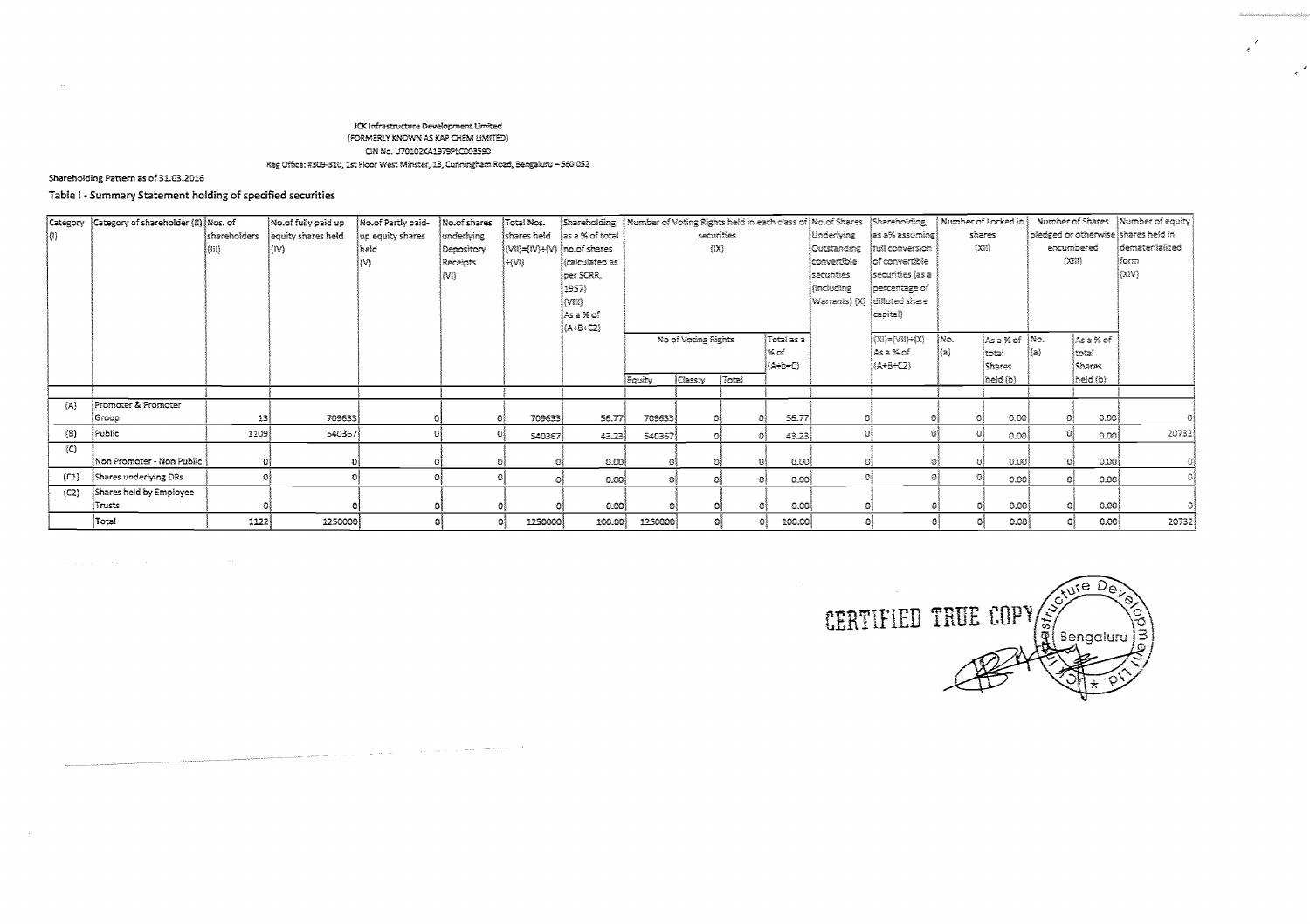#### JCK Infrastructure Development Limited (FORMERLY KNOWN AS KAP CHEM LIMITED) CIN No. U70102KA1979PLC003590 Reg Office: #309-310, 1st Floor West Minster, 13, Cunningham Road, Bengaluru - 560 052

المتحدد المتواطئ المراجي والمراجع والمتواطن والمتواطن والمتواطن والمتواطن المتحدث

# Shareholding Pattern as of 31.03.2016

# Table I - Summary Statement holding of specified securities

| Category | Category of shareholder (!!) Nos. of |              | No.of fully paid up | No.of Partly paid- | No.of shares    | Total Nos.                                                      | Shareholding    |         |                     |       |            |             | Number of Voting Rights held in each class of $ $ No.of Shares $ $ Shareholding, $ $ |      | $\mid$ Number of Locked in $\mid$ |            |               | Number of Shares   Number of equity |
|----------|--------------------------------------|--------------|---------------------|--------------------|-----------------|-----------------------------------------------------------------|-----------------|---------|---------------------|-------|------------|-------------|--------------------------------------------------------------------------------------|------|-----------------------------------|------------|---------------|-------------------------------------|
| {4}      |                                      | shareholders | equity shares held  | up equity shares   | underlying      | Íshares held                                                    | as a % of total |         | securities          |       |            | Underlying  | es a% assuming!                                                                      |      | shares                            |            |               | pledged or otherwise shares held in |
|          |                                      | (III)        | (IV)                | İheld              | Depository      | $ (\mathsf{V1I}) =  (\mathsf{V}) + (\mathsf{V}) $ ino.of shares |                 |         | $\{IX\}$            |       |            | Outstanding | full conversion                                                                      |      | (X3)                              |            | encumbered    | dematerlialized                     |
|          |                                      |              |                     | IM)                | <b>Receipts</b> | i÷{vn}                                                          | (calculated as  |         |                     |       |            | convertible | of convertible                                                                       |      |                                   | [X3]       |               | iform.                              |
|          |                                      |              |                     |                    | $\{M_i\}$       |                                                                 | oer SCRR,       |         |                     |       |            | securities  | securities (as a                                                                     |      |                                   |            |               | l(XIV).                             |
|          |                                      |              |                     |                    |                 |                                                                 | 1957)           |         |                     |       |            | fincluding  | percentage of                                                                        |      |                                   |            |               |                                     |
|          |                                      |              |                     |                    |                 |                                                                 | (VIII)          |         |                     |       |            |             | Warrants) (X) diffuted share                                                         |      |                                   |            |               |                                     |
|          |                                      |              |                     |                    |                 |                                                                 | ÍAsa% of        |         |                     |       |            |             | capital)                                                                             |      |                                   |            |               |                                     |
|          |                                      |              |                     |                    |                 |                                                                 | (A+B+C2)        |         |                     |       |            |             |                                                                                      |      |                                   |            |               |                                     |
|          |                                      |              |                     |                    |                 |                                                                 |                 |         | No of Voting Rights |       | Total as a |             | $[\mathsf{X}1]=[\mathsf{V}11]+[\mathsf{X}]$                                          | ∤No. | As a % of   No.                   |            | Ås a % of     |                                     |
|          |                                      |              |                     |                    |                 |                                                                 |                 |         |                     |       | ೀರ್        |             | ¦As a % of ∶                                                                         | ≬a}  | ∤total                            | (a)        | total         |                                     |
|          |                                      |              |                     |                    |                 |                                                                 |                 |         |                     |       | (LA÷b÷C)   |             | (A+B+C2)                                                                             |      | Shares                            |            | <b>Shares</b> |                                     |
|          |                                      |              |                     |                    |                 |                                                                 |                 | Equity  | Classry             | Total |            |             |                                                                                      |      | [held (b)                         |            | [held(b)]     |                                     |
|          |                                      |              |                     |                    |                 |                                                                 |                 |         |                     |       |            |             |                                                                                      |      |                                   |            |               |                                     |
| (A)      | Promoter & Promoter                  |              |                     |                    |                 |                                                                 |                 |         |                     |       |            |             |                                                                                      |      |                                   |            |               |                                     |
|          | ∫Group                               | 13           | 709633              |                    |                 | 709633                                                          | 56.77           | 709633  |                     |       | S6.77      |             |                                                                                      | O.   | 0.00                              |            | 0.00          |                                     |
| (8)      | Public                               | 1109         | 540367              |                    |                 | 540367                                                          | 43.23           | 540367  | 乔                   |       | 43.23      |             |                                                                                      | Ð    | 0.00                              | Ð          | 0.00l         | 20732                               |
| (C)      |                                      |              |                     |                    |                 |                                                                 |                 |         |                     |       |            |             |                                                                                      |      |                                   |            |               |                                     |
|          | Non Promoter - Non Public            |              |                     |                    |                 |                                                                 | 0.00            | оî      |                     |       | -0.00      |             |                                                                                      |      | 0.00                              |            | 0.001         |                                     |
| (C1)     | Shares underlying DRs                |              |                     |                    |                 |                                                                 | 0.001           | 432     | 变象                  |       | രേജി<br>求劇 |             |                                                                                      |      | 0.00                              | $^{\circ}$ | 0.001         |                                     |
| (C2)     | Shares held by Employee              |              |                     |                    |                 |                                                                 |                 |         |                     |       |            |             |                                                                                      |      |                                   |            |               |                                     |
|          | Trusts                               |              |                     |                    |                 |                                                                 | -0.00)          | 有       | O,                  |       | 0.00<br>Ð  |             |                                                                                      |      | 0.00                              | -01        | 0.00          |                                     |
|          | Total                                | 1122         | 1250000             |                    | ര               | 1250000                                                         | 100.00          | 1250000 |                     | οî    | 100.00     |             | -61                                                                                  |      | 0.00                              |            | 0.00          | 20732                               |

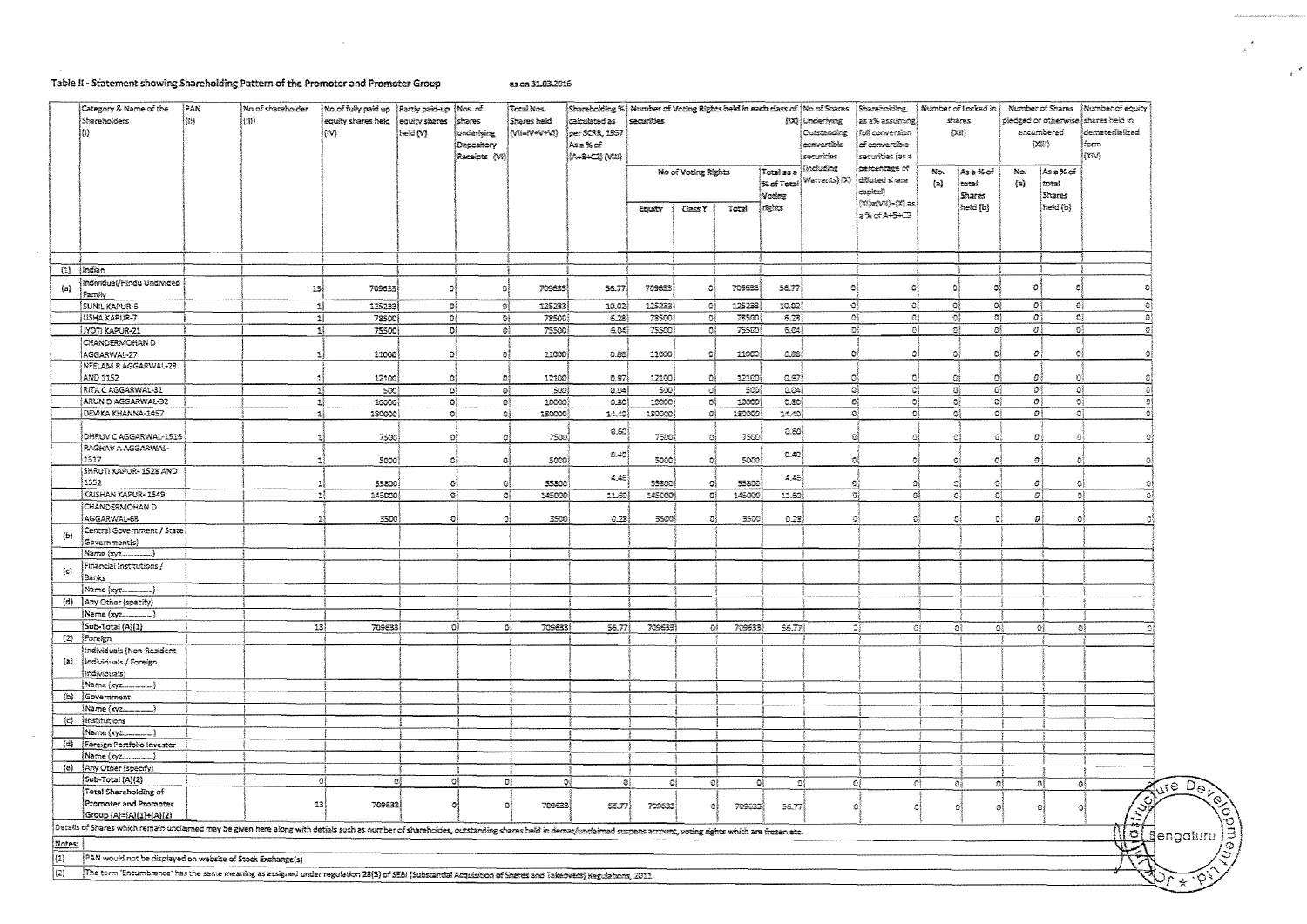# Table II - Statement showing Shareholding Pattern of the Promoter and Promoter Group

 $\sim$   $\sim$ 

 $\sim 40$ 

as on 31.03.2016

|                     | Category & Name of the<br>Shareholders<br>IØ.                                                                                                                                                                | PAN<br>倒 | No.of shareholder<br>(131) | No.of fully paid up Partly paid-up<br>equity shares held<br>lm 1 | equity shares<br>heid (V) | ∲Mas. of<br>shares<br>underlying<br>Depository<br>Receipts (Vi) | Total Nos.<br>Shares held<br>(MEVOVEM) | calculated as<br>per SCRR, 1957<br>As≥% of<br>(A+8+C2) (VHI) | securities      | $\left\{ \text{S} \text{hareholding } \% \right\}$ Number of Voting Rights held in each class of $\left\{ \text{No\_of} \text{S} \text{hares } \; \right  \text{S} \text{hareholeing}$ , |                 |                                 | (DX) Underlying<br>Outstanding<br>convertible<br>securicies | as a % assuming.<br>tul conversion<br> ක් converzible<br>Ísecuribies (as a          |                | Number of Locked in {<br>shares<br>DI)  |                         | encumbered<br>(221)                   | Number of Shares ] Number of equity<br>pledged or otherwise shares held in<br>ldemateriiakzed<br>form<br>loav) |
|---------------------|--------------------------------------------------------------------------------------------------------------------------------------------------------------------------------------------------------------|----------|----------------------------|------------------------------------------------------------------|---------------------------|-----------------------------------------------------------------|----------------------------------------|--------------------------------------------------------------|-----------------|------------------------------------------------------------------------------------------------------------------------------------------------------------------------------------------|-----------------|---------------------------------|-------------------------------------------------------------|-------------------------------------------------------------------------------------|----------------|-----------------------------------------|-------------------------|---------------------------------------|----------------------------------------------------------------------------------------------------------------|
|                     |                                                                                                                                                                                                              |          |                            |                                                                  |                           |                                                                 |                                        |                                                              | Equity          | No of Voting Rights<br><b>Class Y</b>                                                                                                                                                    | Total           | Total as a<br>Vocing<br>rights. | kochading.<br>S. of Total Warrants) (X)                     | percentage of<br>diffuted share<br>ದ್ರಾಂಶವಲ್ಲಿ<br>(Mi=(Wii)-{Xi as<br>(s% of A+S+⊂2 | No.<br>$\{B\}$ | jAsa% of<br>total<br>Shares<br>heid (b) | bio.<br>$\{23\}$        | Asa%of<br>total<br>Shares<br>held (b) |                                                                                                                |
|                     |                                                                                                                                                                                                              |          |                            |                                                                  |                           |                                                                 |                                        |                                                              |                 |                                                                                                                                                                                          |                 |                                 |                                                             |                                                                                     |                |                                         |                         |                                       |                                                                                                                |
|                     | $(1)$ [Indian                                                                                                                                                                                                |          |                            |                                                                  |                           |                                                                 |                                        |                                                              |                 |                                                                                                                                                                                          |                 |                                 |                                                             |                                                                                     |                |                                         |                         |                                       |                                                                                                                |
| $\left\{ a\right\}$ | Individual/Hindu Undivided<br>Family                                                                                                                                                                         |          | 13                         | 709633                                                           |                           | $\circ$                                                         | 709633                                 | 56.77                                                        | 709633          | O.                                                                                                                                                                                       | 709633          | 56.77                           | 화                                                           | ۵i                                                                                  | $\Omega$       | ٥                                       | ø,                      |                                       |                                                                                                                |
|                     | Ísunul Kapur-6                                                                                                                                                                                               |          |                            | -11<br>125233                                                    | - OŠ                      | -O)                                                             | 125233                                 | 10.02                                                        | 225233          | -93                                                                                                                                                                                      | 125233          | 20.023                          |                                                             | ÷J,<br>-01                                                                          |                | 다<br>-91                                | $\boldsymbol{\partial}$ | ΩÎ.                                   |                                                                                                                |
|                     | USHA KAPUR-7                                                                                                                                                                                                 |          |                            | 2)<br>78500                                                      |                           | $\mathbb{D}^1_1$<br>$\Omega_2^3$                                | 78500                                  | 6.28                                                         | 78500           | $\mathbb{G}^3_2$                                                                                                                                                                         | 73500           | 5.23                            |                                                             | ۵Î                                                                                  | o)             | ĐÎ<br>$\Omega_1^2$                      | o1                      | O)                                    | $\circ$                                                                                                        |
|                     | (JYOT) KAPUR-21                                                                                                                                                                                              |          |                            | $\mathbb{I}$<br>75500                                            |                           | o <sub>i</sub><br>$\mathbf{Q}_i^2$                              | 75500                                  | 604                                                          | 75500           | -C)                                                                                                                                                                                      | 75500           | 6.04                            |                                                             | D)                                                                                  | οł             | ĐÎ.<br>-O}                              | $\sigma$ i              | G)                                    |                                                                                                                |
|                     | CHANDERMOHAN D<br>AGGARWAL-27                                                                                                                                                                                |          | ٦                          | 11000                                                            | -G)                       | $\circ$                                                         | 13000                                  | 0.83                                                         | 11000           | -9)                                                                                                                                                                                      | 11000           | 0.88                            | -01                                                         | Ö.                                                                                  | Đ.             | -OI                                     | $\mathcal{Q}$           | -oi                                   |                                                                                                                |
|                     | NEELAM R AGGARWAL-28                                                                                                                                                                                         |          |                            |                                                                  |                           |                                                                 |                                        |                                                              |                 |                                                                                                                                                                                          |                 |                                 |                                                             |                                                                                     |                |                                         |                         |                                       |                                                                                                                |
|                     | AND 1152                                                                                                                                                                                                     |          |                            | 12100                                                            | -81                       | O.                                                              | 12100                                  | 0.97                                                         | 12100           | - O                                                                                                                                                                                      | 12100           | G.97                            | -01                                                         | O.                                                                                  | G.             | -01                                     | 母                       | Ł.                                    |                                                                                                                |
|                     | RITA CAGGARWAL-31                                                                                                                                                                                            |          |                            | -11<br>500)                                                      |                           | -at                                                             | ōì.<br>500)                            | 0.94                                                         | 500)            | $\sim 22$                                                                                                                                                                                | 500)            | 0.04                            |                                                             | ್ಕ                                                                                  | ୍ୟ             | 群<br>-O)                                | вŧ                      | ₫                                     |                                                                                                                |
|                     | ARUN D AGGARWAL-32                                                                                                                                                                                           |          |                            | $\mathbf{I}$<br>10000                                            | -oi                       | ٥Į                                                              | 10000                                  | ക്ഷു                                                         | 10000           | -61                                                                                                                                                                                      | 10000           | 0.80                            |                                                             | $\mathbf{G}_3^2$                                                                    | oj             | ٥ł<br>٥ł                                | 0ì                      | o)                                    |                                                                                                                |
|                     | DEVIKA KHANNA-1457                                                                                                                                                                                           |          |                            | $\mathbf{1}$<br>18000                                            |                           | -el                                                             | 화<br>180000]                           | 14.40                                                        | 180000          | ್ಯ                                                                                                                                                                                       | 120000}         | 14.40                           |                                                             | -eş                                                                                 | ٥į             | $\Theta^{\sharp}_1$                     | οį<br>-64               | -O}                                   |                                                                                                                |
|                     | DHRUV C AGGARWAL-1516                                                                                                                                                                                        |          |                            | 7503                                                             | $\Omega$                  | ٥l                                                              | 7500)                                  | 0.60                                                         | 7538)           | Ö                                                                                                                                                                                        | 7500)           | 0.60                            |                                                             | ۵i<br>Ω                                                                             |                | ାସ<br>$\mathcal{L}_\mathcal{D}$         | Ð,                      |                                       |                                                                                                                |
|                     | RAGHAV A AGGARWAL-                                                                                                                                                                                           |          |                            |                                                                  |                           |                                                                 |                                        | 0.40                                                         |                 |                                                                                                                                                                                          |                 | 0.40                            |                                                             |                                                                                     |                |                                         |                         |                                       |                                                                                                                |
|                     | 1517                                                                                                                                                                                                         |          |                            | 5000                                                             | Q)                        | $\mathcal{E}_\mathcal{S}$                                       | 5000)                                  |                                                              | 5000            | ٥                                                                                                                                                                                        | 5000            |                                 |                                                             | G.<br>Đ.                                                                            |                | O)<br>Đ                                 | Đ.                      |                                       |                                                                                                                |
|                     | SHRUTI KAPUR-1528 AND<br>1552                                                                                                                                                                                |          |                            |                                                                  |                           |                                                                 |                                        | 4.46                                                         |                 |                                                                                                                                                                                          |                 | 4,45)                           |                                                             |                                                                                     |                |                                         | $\Omega$                |                                       |                                                                                                                |
|                     | KRISHAN KAPUR- 1549                                                                                                                                                                                          |          |                            | 55800<br>-18<br>145000                                           |                           | Оš<br>ø<br>್                                                    | 55800<br>-ci<br>145000                 | 11.50                                                        | 55800<br>145000 | a<br>ರಿಃ                                                                                                                                                                                 | 55800<br>145000 | 11.60                           | $\mathbf{G}$                                                | -91                                                                                 | Ωţ<br>G,       | -93<br>O.<br>-e)                        | -83<br>ΩĮ               | -63<br>ĐĨ                             |                                                                                                                |
|                     | CHANDERMOHAN D                                                                                                                                                                                               |          |                            |                                                                  |                           |                                                                 |                                        |                                                              |                 |                                                                                                                                                                                          |                 |                                 |                                                             |                                                                                     |                |                                         |                         |                                       |                                                                                                                |
|                     | AGGARWAL-68                                                                                                                                                                                                  |          |                            | 3500                                                             |                           | Ðİ                                                              | 3500                                   | 0.23                                                         | 3500            | Ð                                                                                                                                                                                        | 3500)           | 0.28                            |                                                             | ō                                                                                   | 3              | O.                                      | $\mathcal{O}$<br>O)     |                                       |                                                                                                                |
| (b)                 | Central Government / State<br>Government(s)                                                                                                                                                                  |          |                            |                                                                  |                           |                                                                 |                                        |                                                              |                 |                                                                                                                                                                                          |                 |                                 |                                                             |                                                                                     |                |                                         |                         |                                       |                                                                                                                |
|                     | Name (xyz________)                                                                                                                                                                                           |          |                            |                                                                  |                           |                                                                 |                                        |                                                              |                 |                                                                                                                                                                                          |                 |                                 |                                                             |                                                                                     |                |                                         |                         |                                       |                                                                                                                |
|                     | $F$ inancial Institutions $\boldsymbol{f}$                                                                                                                                                                   |          |                            |                                                                  |                           |                                                                 |                                        |                                                              |                 |                                                                                                                                                                                          |                 |                                 |                                                             |                                                                                     |                |                                         |                         |                                       |                                                                                                                |
| (c)                 | Banks                                                                                                                                                                                                        |          |                            |                                                                  |                           |                                                                 |                                        |                                                              |                 |                                                                                                                                                                                          |                 |                                 |                                                             |                                                                                     |                |                                         |                         |                                       |                                                                                                                |
|                     | Name (xyz                                                                                                                                                                                                    |          |                            |                                                                  |                           |                                                                 |                                        |                                                              |                 |                                                                                                                                                                                          |                 |                                 |                                                             |                                                                                     |                |                                         |                         |                                       |                                                                                                                |
| (d)                 | Any Other (specify)                                                                                                                                                                                          |          |                            |                                                                  |                           |                                                                 |                                        |                                                              |                 |                                                                                                                                                                                          |                 |                                 |                                                             |                                                                                     |                |                                         |                         |                                       |                                                                                                                |
|                     | Name (xyz<br>----1                                                                                                                                                                                           |          |                            |                                                                  |                           |                                                                 |                                        |                                                              |                 |                                                                                                                                                                                          |                 |                                 |                                                             |                                                                                     |                |                                         |                         |                                       |                                                                                                                |
|                     | Sub-Total (A)(1)                                                                                                                                                                                             |          |                            | 23<br>709633                                                     |                           | O)                                                              | 709633<br>٥Į                           | 56.77                                                        | 709633)         | Đĝ                                                                                                                                                                                       | 709633          | 55.77                           |                                                             | Зĵ                                                                                  | ĐÌ             | 0Į                                      | ٥l                      | -o1<br>Q)                             |                                                                                                                |
|                     | (2) Foreign                                                                                                                                                                                                  |          |                            |                                                                  |                           |                                                                 |                                        |                                                              |                 |                                                                                                                                                                                          |                 |                                 |                                                             |                                                                                     |                |                                         |                         |                                       |                                                                                                                |
|                     | Individuals (Non-Resident                                                                                                                                                                                    |          |                            |                                                                  |                           |                                                                 |                                        |                                                              |                 |                                                                                                                                                                                          |                 |                                 |                                                             |                                                                                     |                |                                         |                         |                                       |                                                                                                                |
| $\left\{ a\right\}$ | Individuals / Foreign                                                                                                                                                                                        |          |                            |                                                                  |                           |                                                                 |                                        |                                                              |                 |                                                                                                                                                                                          |                 |                                 |                                                             |                                                                                     |                |                                         |                         |                                       |                                                                                                                |
|                     | Individuals)                                                                                                                                                                                                 |          |                            |                                                                  |                           |                                                                 |                                        |                                                              |                 |                                                                                                                                                                                          |                 |                                 |                                                             |                                                                                     |                |                                         |                         |                                       |                                                                                                                |
|                     | Wame (xyz                                                                                                                                                                                                    |          |                            |                                                                  |                           |                                                                 |                                        |                                                              |                 |                                                                                                                                                                                          |                 |                                 |                                                             |                                                                                     |                |                                         |                         |                                       |                                                                                                                |
| (b)                 | Government                                                                                                                                                                                                   |          |                            |                                                                  |                           |                                                                 |                                        |                                                              |                 |                                                                                                                                                                                          |                 |                                 |                                                             |                                                                                     |                |                                         |                         |                                       |                                                                                                                |
|                     | Name (xyz                                                                                                                                                                                                    |          |                            |                                                                  |                           |                                                                 |                                        |                                                              |                 |                                                                                                                                                                                          |                 |                                 |                                                             |                                                                                     |                |                                         |                         |                                       |                                                                                                                |
| {c}                 | Institutions                                                                                                                                                                                                 |          |                            |                                                                  |                           |                                                                 |                                        |                                                              |                 |                                                                                                                                                                                          |                 |                                 |                                                             |                                                                                     |                |                                         |                         |                                       |                                                                                                                |
|                     | Name (xyz                                                                                                                                                                                                    |          |                            |                                                                  |                           |                                                                 |                                        |                                                              |                 |                                                                                                                                                                                          |                 |                                 |                                                             |                                                                                     |                |                                         |                         |                                       |                                                                                                                |
|                     | (d) Foreign Portfolio Investor                                                                                                                                                                               |          |                            |                                                                  |                           |                                                                 |                                        |                                                              |                 |                                                                                                                                                                                          |                 |                                 |                                                             |                                                                                     |                |                                         |                         |                                       |                                                                                                                |
|                     | Name (xyz)                                                                                                                                                                                                   |          |                            |                                                                  |                           |                                                                 |                                        |                                                              |                 |                                                                                                                                                                                          |                 |                                 |                                                             |                                                                                     |                |                                         |                         |                                       |                                                                                                                |
|                     | (e)   Any Other (specify)                                                                                                                                                                                    |          |                            |                                                                  |                           |                                                                 |                                        |                                                              |                 |                                                                                                                                                                                          |                 |                                 |                                                             |                                                                                     |                |                                         |                         |                                       |                                                                                                                |
|                     | Sub-Total (A)(2)                                                                                                                                                                                             |          |                            | -oi                                                              | ٥ŧ                        | ٥ł                                                              | B)                                     | ٥į                                                           | O,              | ol.<br>-ož                                                                                                                                                                               | -G)             |                                 | 0İ                                                          | O)                                                                                  | -C)            | -Oğ                                     | O)                      | 0Į<br>-62                             |                                                                                                                |
|                     | Total Shareholding of                                                                                                                                                                                        |          |                            |                                                                  |                           |                                                                 |                                        |                                                              |                 |                                                                                                                                                                                          |                 |                                 |                                                             |                                                                                     |                |                                         |                         |                                       |                                                                                                                |
|                     | Promoter and Promoter<br>Group (A)=(A)(1)+(A)(2)                                                                                                                                                             |          |                            | 23 <br>709633                                                    |                           | O.                                                              | 709633                                 | 55.77                                                        | 709633          | -193                                                                                                                                                                                     | 709633          | 55.77                           |                                                             | ß.                                                                                  | 이              | ٥                                       | л                       | O                                     |                                                                                                                |
|                     | Details of Shares which remain unclaimed may be given here along with details such as number of shareholdes, outstanding shares held in demay unclaimed suspens account, voting rights which are frozen etc. |          |                            |                                                                  |                           |                                                                 |                                        |                                                              |                 |                                                                                                                                                                                          |                 |                                 |                                                             |                                                                                     |                |                                         |                         |                                       | Colengaluru                                                                                                    |
| Notes:              |                                                                                                                                                                                                              |          |                            |                                                                  |                           |                                                                 |                                        |                                                              |                 |                                                                                                                                                                                          |                 |                                 |                                                             |                                                                                     |                |                                         |                         |                                       |                                                                                                                |
|                     |                                                                                                                                                                                                              |          |                            |                                                                  |                           |                                                                 |                                        |                                                              |                 |                                                                                                                                                                                          |                 |                                 |                                                             |                                                                                     |                |                                         |                         |                                       |                                                                                                                |
| (1)                 | PAN would not be displayed on website of Stock Exchange(s)                                                                                                                                                   |          |                            |                                                                  |                           |                                                                 |                                        |                                                              |                 |                                                                                                                                                                                          |                 |                                 |                                                             |                                                                                     |                |                                         |                         |                                       | <u> [Z]</u>                                                                                                    |
| (2)                 | The term 'Encumbrance' has the same meaning as assigned under regulation 28(3) of SEBI (Substantial Acquisition of Shares and Takeovers) Regulations, 2011.                                                  |          |                            |                                                                  |                           |                                                                 |                                        |                                                              |                 |                                                                                                                                                                                          |                 |                                 |                                                             |                                                                                     |                |                                         |                         |                                       | $\sqrt[4]{2\sqrt{x}}$                                                                                          |

-<br>Antique, and possible of particular confinitives

 $\mathcal{L}$ 

 $\mathcal{F}$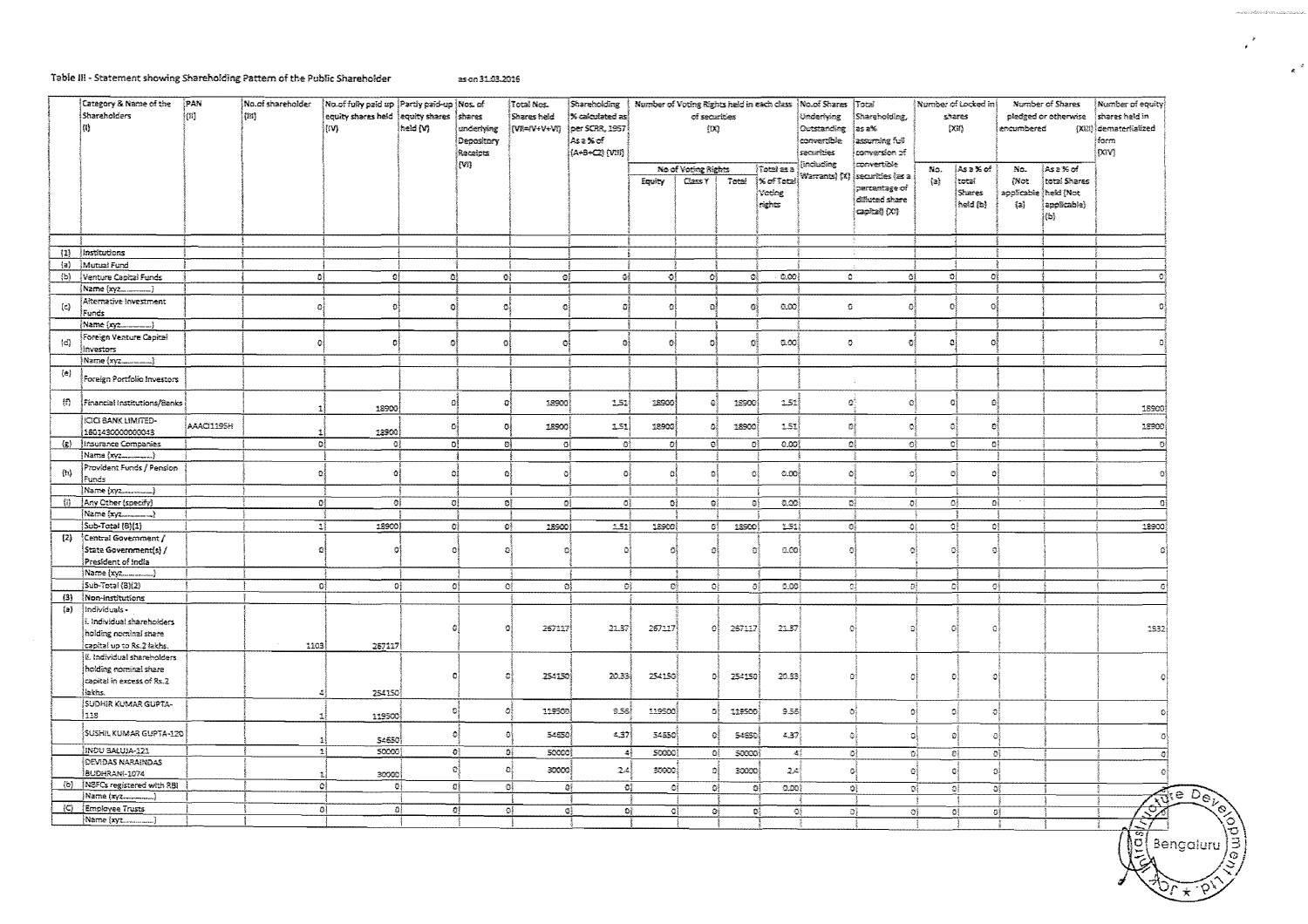#### Table III - Statement showing Shareholding Pattern of the Public Shareholder as on 31.03.2016

 $\overline{\circ}$ 

 $\overline{\circ}$ 

ब

 $\sigma$ 

್ಟಿ

(C) Employee Trusts<br>Name (xyz

|                             | Category & Name of the         | PAN       | No.of shareholder | No of fully paid up Partly paid-up Nos. of |          |              | Total Nos.       | Shareholding             |              | Number of Voting Rights held in each class   No.of Shares |        |                   |               | Total                       |                                      | Number of Locked in | Number of Shares           |              | Number of equity       |
|-----------------------------|--------------------------------|-----------|-------------------|--------------------------------------------|----------|--------------|------------------|--------------------------|--------------|-----------------------------------------------------------|--------|-------------------|---------------|-----------------------------|--------------------------------------|---------------------|----------------------------|--------------|------------------------|
|                             | <b>Shareholders</b>            | $\{11\}$  | ${105}$           | equity shares held lequity shares          |          | İshares      | Shares held      | % calculated as:         |              | of securities                                             |        |                   | Underlying    | Shareholding,               | shares                               |                     | pledged or otherwise       |              | shares held in         |
|                             | {I}                            |           |                   | ∣tiv).                                     | held (V) | underlying   | [WE=/V+V+Vi)     | per SCRR, 1957           |              | (12)                                                      |        |                   | Outstanding   | as a%                       |                                      |                     | <b>EX373</b><br>encumbered |              | (XIII) demateritalized |
|                             |                                |           |                   |                                            |          | Depository   |                  | ¦Asa%of                  |              |                                                           |        |                   | convertible   | assuming full               |                                      |                     |                            |              | farm                   |
|                             |                                |           |                   |                                            |          | Receipts     |                  | (A+B+C2) (VIII)          |              |                                                           |        |                   | securities    | conversion of               |                                      |                     |                            |              | [XY]                   |
|                             |                                |           |                   |                                            |          | ļm,          |                  |                          |              |                                                           |        |                   | andus Sre     | convertible                 |                                      |                     |                            |              |                        |
|                             |                                |           |                   |                                            |          |              |                  |                          |              | No of Voting Rights                                       |        | Total as a        | Warrants) (X) | securities (as a            | No.                                  | As a % of           | Mo.                        | ∤Asa%of      |                        |
|                             |                                |           |                   |                                            |          |              |                  |                          | Equity       | Class Y                                                   | Total  | <b>X</b> of Total |               | pertentage of               | (a)                                  | total               | (Not                       | total Shares |                        |
|                             |                                |           |                   |                                            |          |              |                  |                          |              |                                                           |        | Voting            |               | diffuted share              |                                      | <b>Shares</b>       | applicable                 | heid (Not    |                        |
|                             |                                |           |                   |                                            |          |              |                  |                          |              |                                                           |        | rights            |               | capital) (XI)               |                                      | held (b)            | $\{z\}$                    | applicable)  |                        |
|                             |                                |           |                   |                                            |          |              |                  |                          |              |                                                           |        |                   |               |                             |                                      |                     |                            | (b)          |                        |
|                             |                                |           |                   |                                            |          |              |                  |                          |              |                                                           |        |                   |               |                             |                                      |                     |                            |              |                        |
|                             |                                |           |                   |                                            |          |              |                  |                          |              |                                                           |        |                   |               |                             |                                      |                     |                            |              |                        |
| (1)                         | Institutions                   |           |                   |                                            |          |              |                  |                          |              |                                                           |        |                   |               |                             |                                      |                     |                            |              |                        |
| $\{a\}$                     | Mutual Fund                    |           |                   |                                            |          |              |                  |                          |              |                                                           |        |                   |               |                             |                                      |                     |                            |              |                        |
| (b)                         | Venture Capital Funds          |           | ٥l                | O)                                         | Oł       | 礦            | ĐĮ.              | 햬                        | ٥l           | $\mathbb{O}^3_2$                                          | OÌ.    | 0.00              | $\circ$       |                             | 0Į<br>٥ł                             | ol                  |                            |              |                        |
|                             | Name (xy2_______)              |           |                   |                                            |          |              |                  |                          |              |                                                           |        |                   |               |                             |                                      |                     |                            |              |                        |
| (c)                         | Akemative Investment           |           | $\Omega$          | $\Omega$                                   | a        | $\Omega$     | ĐÍ               | ø                        | o.           | $\mathfrak{a}$                                            |        | 0.00              | $\bullet$     | ٥l                          | $\Omega$                             | ø                   |                            |              |                        |
|                             | Funds                          |           |                   |                                            |          |              |                  |                          |              |                                                           |        |                   |               |                             |                                      |                     |                            |              |                        |
|                             | Name (xyz                      |           |                   |                                            |          |              |                  |                          |              |                                                           |        |                   |               |                             |                                      |                     |                            |              |                        |
| (d)                         | Foreign Venture Capital        |           | a                 | Ð                                          | ō        | $\Omega$     | 31               | 發                        | -91          | G.                                                        | n      | aco               | $\Omega$      | ٥į                          | а                                    | B)                  |                            |              |                        |
|                             | investors                      |           |                   |                                            |          |              |                  |                          |              |                                                           |        |                   |               |                             |                                      |                     |                            |              |                        |
|                             | Name (xyz                      |           |                   |                                            |          |              |                  |                          |              |                                                           |        |                   |               |                             |                                      |                     |                            |              |                        |
| $\{a\}$                     | Foreign Portfolio Investors    |           |                   |                                            |          |              |                  |                          |              |                                                           |        |                   |               |                             |                                      |                     |                            |              |                        |
|                             |                                |           |                   |                                            |          |              |                  |                          |              |                                                           |        |                   |               |                             |                                      |                     |                            |              |                        |
| $\{\hat{\tau}\}$            | Financial Institutions/Banks   |           |                   |                                            | ô        | ΩĮ           | 18900            | 1.51                     | 18900        | ¢                                                         | 18900  | 1.51              | Đ.            | O)                          | Đ,                                   | Đ                   |                            |              |                        |
|                             |                                |           |                   | 18900                                      |          |              |                  |                          |              |                                                           |        |                   |               |                             |                                      |                     |                            |              | 18900                  |
|                             | ICICI BANK LIMITED-            | AAAC1195H |                   |                                            | O,       | ٥Į           | 18900            | 1.51                     | 18900        | o)                                                        | 18900  | 1.51              | D.            | O)                          | O.                                   | Đ,                  |                            |              | 18900                  |
|                             | 1601430000000043               |           |                   | 18900                                      |          |              |                  |                          |              |                                                           |        |                   |               |                             |                                      |                     |                            |              |                        |
| $\left( \varepsilon\right)$ | Insurance Companies            |           | ٥ļ                | ٥l                                         | DÎ.      | G)           | $\mathbf{G}_2^2$ | -DŽ                      | $\Omega_1^1$ | σĮ                                                        | 健      | 0.00              |               | ٥Į                          | $\mathbf{O}^6_2$<br>$\mathbf{C}_i^2$ | ۵Į                  |                            |              | Ð                      |
|                             | Name (xyz)                     |           |                   |                                            |          |              |                  |                          |              |                                                           |        |                   |               |                             |                                      |                     |                            |              |                        |
| $\left( n\right)$           | Provident Funds / Pension      |           | o                 | ٥                                          | G.       | Đ            | Đ.               | $\Omega$                 | õ            | ō                                                         | Ø      | 0.00              | $\bullet$     | O,                          | Đ,                                   | Ð.                  |                            |              | 0ŧ                     |
|                             | Funds                          |           |                   |                                            |          |              |                  |                          |              |                                                           |        |                   |               |                             |                                      |                     |                            |              |                        |
|                             |                                |           |                   |                                            |          |              |                  |                          |              |                                                           |        |                   |               |                             |                                      |                     |                            |              |                        |
| 得                           | Any Other (specify)            |           | -DĬ               | Đ,                                         | 0Į       | ₿₿           | ΩÎ               | ٥į                       | 0į           | 避                                                         | ΘĮ     | ುಯ                |               | ŌĴ                          | -91<br>직                             | ĐÎ                  |                            |              | -Gi                    |
|                             | (Name {xyz________)            |           |                   |                                            |          |              |                  |                          |              |                                                           |        |                   |               |                             |                                      |                     |                            |              |                        |
|                             | Sub-Total (8)(1)               |           | $\mathbb{E}$      | 18900                                      | ٥ŀ       | ٥Î           | 18900            | 2.52                     | 18900        | -BÎ                                                       | 12500  | 2.52              |               | O,                          | $\Omega$<br>۵ł                       | $\mathbb{O}^4_2$    |                            |              | 12900                  |
| (2)                         | Central Government /           |           |                   |                                            |          |              |                  |                          |              |                                                           |        |                   |               |                             |                                      |                     |                            |              |                        |
|                             | State Government(s) /          |           | $\sqrt{1}$        | Ω                                          | n        | -93          | n                | O.                       | ٥l           | O                                                         | Ož     | 0.00              |               | ĐÌ<br>$\Omega$              | -fM                                  | в                   |                            |              | ٥i                     |
|                             | President of India             |           |                   |                                            |          |              |                  |                          |              |                                                           |        |                   |               |                             |                                      |                     |                            |              |                        |
|                             |                                |           |                   |                                            |          |              |                  |                          |              |                                                           |        |                   |               |                             |                                      |                     |                            |              |                        |
|                             | Sub-Total (8)(2)               |           | ₿Î                | ٥ŧ                                         | ÐĮ       |              | ۵ł<br>ĐÌ.        | ÛÎ.                      | O)           | O)                                                        | 碍      | e.co)             |               | -9)                         | 滔<br>$\Omega^1_1$                    | -C4                 |                            |              | G)                     |
| (3)                         | <b>Non-institutions</b>        |           |                   |                                            |          |              |                  |                          |              |                                                           |        |                   |               |                             |                                      |                     |                            |              |                        |
| $\{a\}$                     | Individuals -                  |           |                   |                                            |          |              |                  |                          |              |                                                           |        |                   |               |                             |                                      |                     |                            |              |                        |
|                             | i. Individual shareholders     |           |                   |                                            |          | -63          | 267117           | 21.37                    | 257117       | €                                                         | 267117 | 21.37             |               | O.<br>Ð                     | $\bullet$                            |                     |                            |              | 1332                   |
|                             | holding nominal share          |           |                   |                                            |          |              |                  |                          |              |                                                           |        |                   |               |                             |                                      |                     |                            |              |                        |
|                             | capital up to Rs.2 lakhs.      |           | 1103              | 267117                                     |          |              |                  |                          |              |                                                           |        |                   |               |                             |                                      |                     |                            |              |                        |
|                             | iii. Individual sharaholders   |           |                   |                                            |          |              |                  |                          |              |                                                           |        |                   |               |                             |                                      |                     |                            |              |                        |
|                             | holding nominal share          |           |                   |                                            |          |              | 254150           | 20.33                    | 254150       | 화                                                         | 254150 | 20.33             |               | O.                          | ٥                                    |                     |                            |              |                        |
|                             | capital in excess of Rs.2      |           |                   |                                            |          |              |                  |                          |              |                                                           |        |                   |               |                             |                                      |                     |                            |              |                        |
|                             | laktis.<br>SUDHIR KUMAR GUPTA- |           |                   | 254150                                     |          |              |                  |                          |              |                                                           |        |                   |               |                             |                                      |                     |                            |              |                        |
|                             | 1118                           |           |                   |                                            | Đ,       | - of         | 119500           | 9.56                     | 119500       | ۵i                                                        | 119500 | 3.55              |               | ್                           | o)<br>$\mathbb{C}^2$                 | $\circ$             |                            |              | οł                     |
|                             |                                |           |                   | 119500                                     |          |              |                  |                          |              |                                                           |        |                   |               |                             |                                      |                     |                            |              |                        |
|                             | SUSHIL KUMAR GUPTA-120         |           |                   | S4650                                      |          | ٥l           | 54550            | 4.37                     | 54550        | 疫                                                         | 54550  | 4.37)             |               | G.                          | - 35                                 | 缝<br>$\Omega$       |                            |              | Ωŝ                     |
|                             | INDU SALUJA-121                |           | 23<br>-11         | 50000                                      |          | o)           | ĐÎ<br>50000      |                          |              |                                                           |        |                   |               |                             |                                      |                     |                            |              |                        |
|                             | <b>DEVIDAS NARAINDAS</b>       |           |                   |                                            |          |              |                  | 碍                        | scopo)       | ĐĮ.                                                       | SOCCO) | 場                 |               | $\mathcal{O}^{\frac{3}{2}}$ | $\mathbb{C}^k_2$<br>-ei              | O}                  |                            |              | G)                     |
|                             | <b>BUDHRANI-1074</b>           |           |                   | 30000                                      | o        | $\mathbf{c}$ | 30000            | 24                       | 33903        |                                                           | 30000  | 2 <sub>1</sub>    |               | O,                          | -a)<br>-Gŝ                           | -0{                 |                            |              | Đ,                     |
| (b)                         | NSFCs registered with RBI      |           |                   | ٥ł<br>ōi.                                  |          | οi           | 0ì<br>QÎ         | $\mathbb{Q}_k^{\bar{p}}$ | ٥ł           | O)                                                        | 握      | 0.00              |               | oł                          | οſ<br>$\mathcal{O}^3_5$              | ۵ł                  |                            |              |                        |
|                             | Name (xyz)                     |           |                   |                                            |          |              |                  |                          |              |                                                           |        |                   |               |                             |                                      |                     |                            |              | التام                  |

 $\overline{\mathbf{e}}$ 

G,

್

್

D.

οĮ

ಾ

 $\overline{\mathcal{O}}$ 

 $\Omega$ 

 $\frac{1}{3}$ ទ្រ Bengaluru ۱đ

 $\widehat{\rm{free}}$   $\widehat{\rm{Dec}}$ 

↶  $\star$ 

 $\rightarrow$ 

 $\cdot$   $\cdot$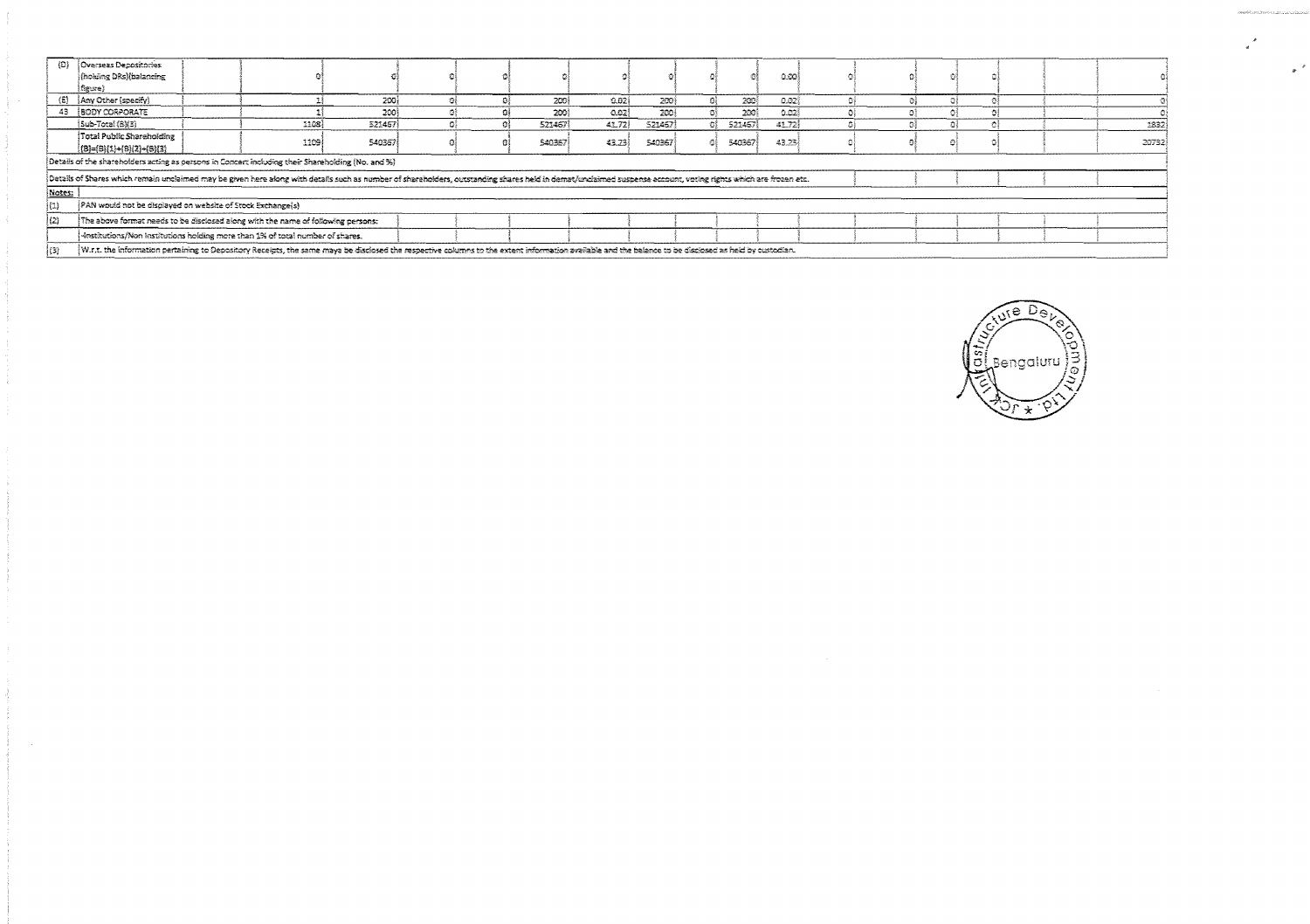| $\{\Omega\}$        | Overseas Depositories                                                                                                                                                                                          |  |      |        |  |  |        |       |        |    |         |         |  |  |  |  |        |
|---------------------|----------------------------------------------------------------------------------------------------------------------------------------------------------------------------------------------------------------|--|------|--------|--|--|--------|-------|--------|----|---------|---------|--|--|--|--|--------|
|                     | (hoking DRs)(balancing                                                                                                                                                                                         |  |      |        |  |  |        |       |        |    |         | 0.00    |  |  |  |  |        |
|                     | figure}                                                                                                                                                                                                        |  |      |        |  |  |        |       |        |    |         |         |  |  |  |  |        |
|                     | (E) Any Other (specify)                                                                                                                                                                                        |  |      | 200    |  |  | 2001   | 0.021 | 200    |    | 200     | 0.227   |  |  |  |  |        |
|                     | 43 <b>BODY CORPORATE</b>                                                                                                                                                                                       |  |      | 200    |  |  | 2001   | 0.021 | 200    |    | 200)    | 0.02    |  |  |  |  |        |
|                     | $[Sub-Total (6)]$                                                                                                                                                                                              |  | 1108 | 521457 |  |  | 521467 | 41.72 | S21467 | Ωੋ | 521467} | $-1272$ |  |  |  |  | 1832)  |
|                     | Total Public Shareholding                                                                                                                                                                                      |  | 1109 | 540367 |  |  | 540367 | 43.23 | 540367 |    | 540367  | 43.23   |  |  |  |  | 20732) |
|                     | $(8) = (8)(1) + (6)(2) + (6)(3)$                                                                                                                                                                               |  |      |        |  |  |        |       |        |    |         |         |  |  |  |  |        |
|                     | Details of the shareholders acting as persons in Concert including their Shareholding (No. and %)                                                                                                              |  |      |        |  |  |        |       |        |    |         |         |  |  |  |  |        |
|                     | Details of Shares which remain uncleimed may be given here along with details such as number of shareholders, outstanding shares held in demat/unclaimed suspense account, voting rights which are frozen etc. |  |      |        |  |  |        |       |        |    |         |         |  |  |  |  |        |
| Notes:              |                                                                                                                                                                                                                |  |      |        |  |  |        |       |        |    |         |         |  |  |  |  |        |
| $\left\{ 1\right\}$ | [PAN would not be displayed on website of Stock Exchange(s)                                                                                                                                                    |  |      |        |  |  |        |       |        |    |         |         |  |  |  |  |        |
| (2)                 | The above format needs to be disclosed along with the name of following persons:                                                                                                                               |  |      |        |  |  |        |       |        |    |         |         |  |  |  |  |        |
|                     | -krstitutions/Non Institutions holding more than 1% of total number of shares.                                                                                                                                 |  |      |        |  |  |        |       |        |    |         |         |  |  |  |  |        |
|                     | W.r.t. the information pertaining to Depository Receipts, the same maya be disclosed the respective columns to the extent information available and the balance to be disclosed as held by custodian.          |  |      |        |  |  |        |       |        |    |         |         |  |  |  |  |        |



 $\overline{a}$